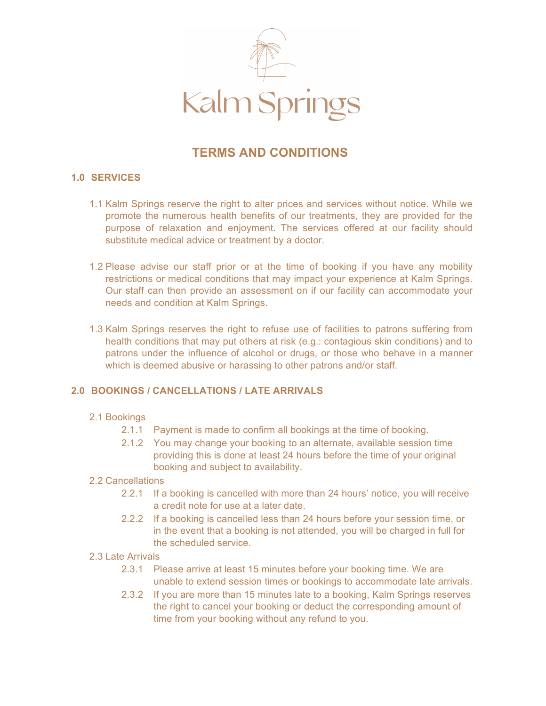

# **TERMS AND CONDITIONS**

## **1.0 SERVICES**

- 1.1 Kalm Springs reserve the right to alter prices and services without notice. While we promote the numerous health benefits of our treatments, they are provided for the purpose of relaxation and enjoyment. The services offered at our facility should substitute medical advice or treatment by a doctor.
- 1.2 Please advise our staff prior or at the time of booking if you have any mobility restrictions or medical conditions that may impact your experience at Kalm Springs. Our staff can then provide an assessment on if our facility can accommodate your needs and condition at Kalm Springs.
- 1.3 Kalm Springs reserves the right to refuse use of facilities to patrons suffering from health conditions that may put others at risk (e.g.: contagious skin conditions) and to patrons under the influence of alcohol or drugs, or those who behave in a manner which is deemed abusive or harassing to other patrons and/or staff.

#### **2.0 BOOKINGS / CANCELLATIONS / LATE ARRIVALS**

#### 2.1 Bookings

- 2.1.1 Payment is made to confirm all bookings at the time of booking.
- 2.1.2 You may change your booking to an alternate, available session time providing this is done at least 24 hours before the time of your original booking and subject to availability.

#### 2.2 Cancellations

- 2.2.1 If a booking is cancelled with more than 24 hours' notice, you will receive a credit note for use at a later date.
- 2.2.2 If a booking is cancelled less than 24 hours before your session time, or in the event that a booking is not attended, you will be charged in full for the scheduled service.
- 2.3 Late Arrivals
	- 2.3.1 Please arrive at least 15 minutes before your booking time. We are unable to extend session times or bookings to accommodate late arrivals.
	- 2.3.2 If you are more than 15 minutes late to a booking, Kalm Springs reserves the right to cancel your booking or deduct the corresponding amount of time from your booking without any refund to you.